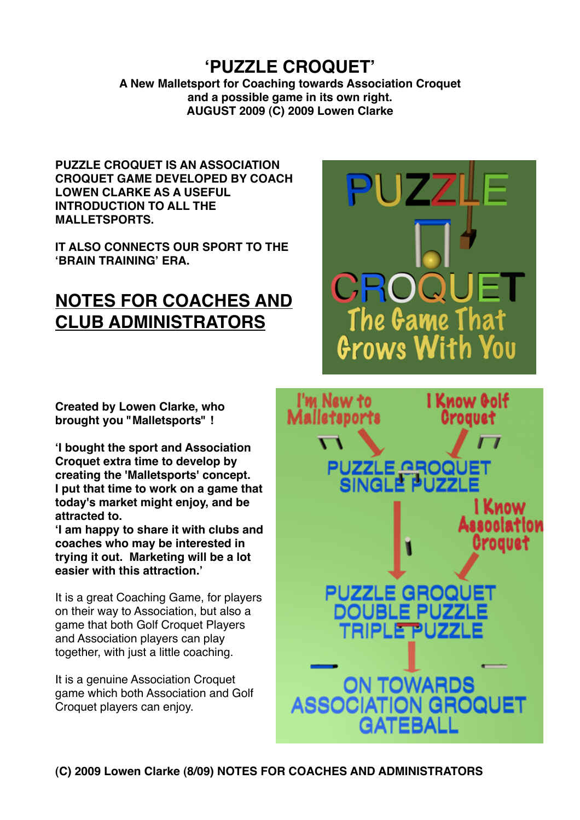**<sup>ʻ</sup>PUZZLE CROQUET' A New Malletsport for Coaching towards Association Croquet and a possible game in its own right. AUGUST 2009 (C) 2009 Lowen Clarke**

**PUZZLE CROQUET IS AN ASSOCIATION CROQUET GAME DEVELOPED BY COACH LOWEN CLARKE AS A USEFUL INTRODUCTION TO ALL THE MALLETSPORTS.** 

**IT ALSO CONNECTS OUR SPORT TO THE ʻBRAIN TRAINING' ERA.**

# **NOTES FOR COACHES AND CLUB ADMINISTRATORS**

**Created by Lowen Clarke, who brought you "Malletsports" !**

**ʻI bought the sport and Association Croquet extra time to develop by creating the 'Malletsports' concept. I put that time to work on a game that today's market might enjoy, and be attracted to.**

**ʻI am happy to share it with clubs and coaches who may be interested in trying it out. Marketing will be a lot easier with this attraction.'**

It is a great Coaching Game, for players on their way to Association, but also a game that both Golf Croquet Players and Association players can play together, with just a little coaching.

It is a genuine Association Croquet game which both Association and Golf Croquet players can enjoy.

DOUBLE PUZZ ON TOWARDS **ASSOCIAT ION GROQUET** 

**PUZZLE GROQ** 

CROQ

**PUZZLE GROQ** 

I'm New to

Malletsports

↖

The Game That

Grows With You

l Know Golf

Croauet

I Know Association Croauet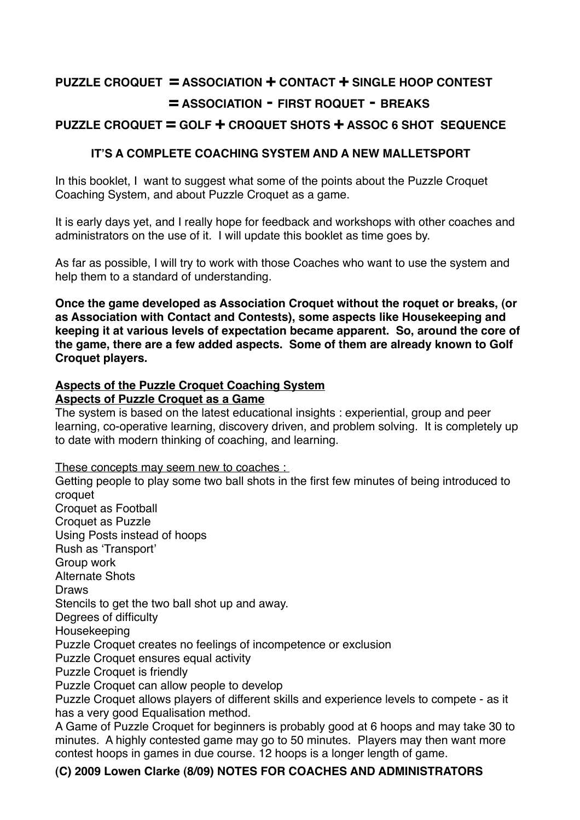# **PUZZLE CROQUET = ASSOCIATION + CONTACT + SINGLE HOOP CONTEST 
= ASSOCIATION - FIRST ROQUET - BREAKS**

# **PUZZLE CROQUET = GOLF + CROQUET SHOTS + ASSOC 6 SHOT SEQUENCE**

## **IT'S A COMPLETE COACHING SYSTEM AND A NEW MALLETSPORT**

In this booklet, I want to suggest what some of the points about the Puzzle Croquet Coaching System, and about Puzzle Croquet as a game.

It is early days yet, and I really hope for feedback and workshops with other coaches and administrators on the use of it. I will update this booklet as time goes by.

As far as possible, I will try to work with those Coaches who want to use the system and help them to a standard of understanding.

**Once the game developed as Association Croquet without the roquet or breaks, (or as Association with Contact and Contests), some aspects like Housekeeping and keeping it at various levels of expectation became apparent. So, around the core of the game, there are a few added aspects. Some of them are already known to Golf Croquet players.**

#### **Aspects of the Puzzle Croquet Coaching System Aspects of Puzzle Croquet as a Game**

The system is based on the latest educational insights : experiential, group and peer learning, co-operative learning, discovery driven, and problem solving. It is completely up to date with modern thinking of coaching, and learning.

These concepts may seem new to coaches :

Getting people to play some two ball shots in the first few minutes of being introduced to croquet Croquet as Football Croquet as Puzzle Using Posts instead of hoops Rush as ʻTransport' Group work Alternate Shots Draws Stencils to get the two ball shot up and away. Degrees of difficulty Housekeeping Puzzle Croquet creates no feelings of incompetence or exclusion Puzzle Croquet ensures equal activity Puzzle Croquet is friendly Puzzle Croquet can allow people to develop Puzzle Croquet allows players of different skills and experience levels to compete - as it has a very good Equalisation method. A Game of Puzzle Croquet for beginners is probably good at 6 hoops and may take 30 to minutes. A highly contested game may go to 50 minutes. Players may then want more

contest hoops in games in due course. 12 hoops is a longer length of game.

## **(C) 2009 Lowen Clarke (8/09) NOTES FOR COACHES AND ADMINISTRATORS**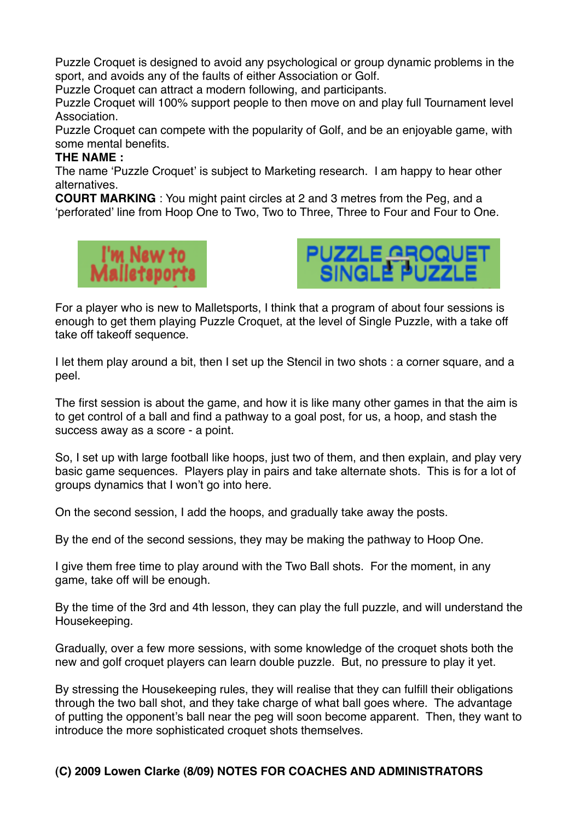Puzzle Croquet is designed to avoid any psychological or group dynamic problems in the sport, and avoids any of the faults of either Association or Golf.

Puzzle Croquet can attract a modern following, and participants.

Puzzle Croquet will 100% support people to then move on and play full Tournament level Association.

Puzzle Croquet can compete with the popularity of Golf, and be an enjoyable game, with some mental benefits.

### **THE NAME :**

The name ʻPuzzle Croquet' is subject to Marketing research. I am happy to hear other alternatives.

**COURT MARKING** : You might paint circles at 2 and 3 metres from the Peg, and a ʻperforated' line from Hoop One to Two, Two to Three, Three to Four and Four to One.





For a player who is new to Malletsports, I think that a program of about four sessions is enough to get them playing Puzzle Croquet, at the level of Single Puzzle, with a take off take off takeoff sequence.

I let them play around a bit, then I set up the Stencil in two shots : a corner square, and a peel.

The first session is about the game, and how it is like many other games in that the aim is to get control of a ball and find a pathway to a goal post, for us, a hoop, and stash the success away as a score - a point.

So, I set up with large football like hoops, just two of them, and then explain, and play very basic game sequences. Players play in pairs and take alternate shots. This is for a lot of groups dynamics that I won't go into here.

On the second session, I add the hoops, and gradually take away the posts.

By the end of the second sessions, they may be making the pathway to Hoop One.

I give them free time to play around with the Two Ball shots. For the moment, in any game, take off will be enough.

By the time of the 3rd and 4th lesson, they can play the full puzzle, and will understand the Housekeeping.

Gradually, over a few more sessions, with some knowledge of the croquet shots both the new and golf croquet players can learn double puzzle. But, no pressure to play it yet.

By stressing the Housekeeping rules, they will realise that they can fulfill their obligations through the two ball shot, and they take charge of what ball goes where. The advantage of putting the opponent's ball near the peg will soon become apparent. Then, they want to introduce the more sophisticated croquet shots themselves.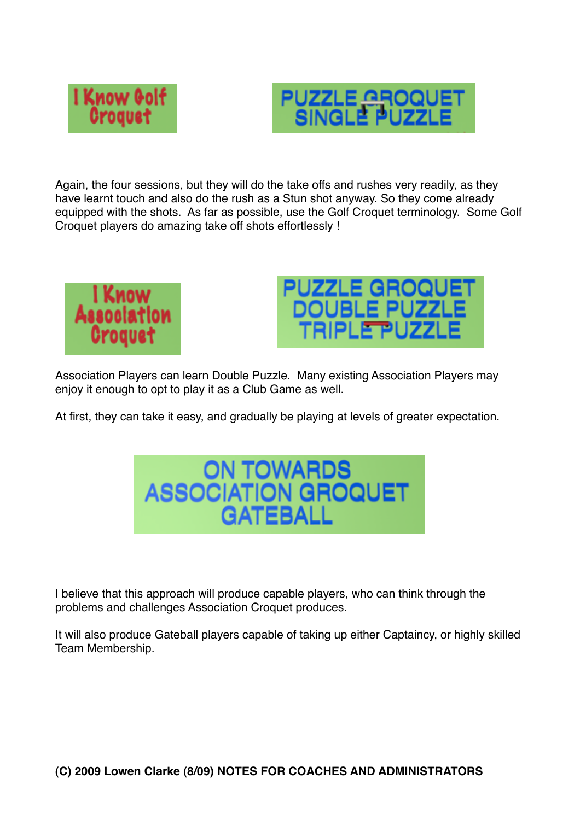



Again, the four sessions, but they will do the take offs and rushes very readily, as they have learnt touch and also do the rush as a Stun shot anyway. So they come already equipped with the shots. As far as possible, use the Golf Croquet terminology. Some Golf Croquet players do amazing take off shots effortlessly !





Association Players can learn Double Puzzle. Many existing Association Players may enjoy it enough to opt to play it as a Club Game as well.

At first, they can take it easy, and gradually be playing at levels of greater expectation.



I believe that this approach will produce capable players, who can think through the problems and challenges Association Croquet produces.

It will also produce Gateball players capable of taking up either Captaincy, or highly skilled Team Membership.